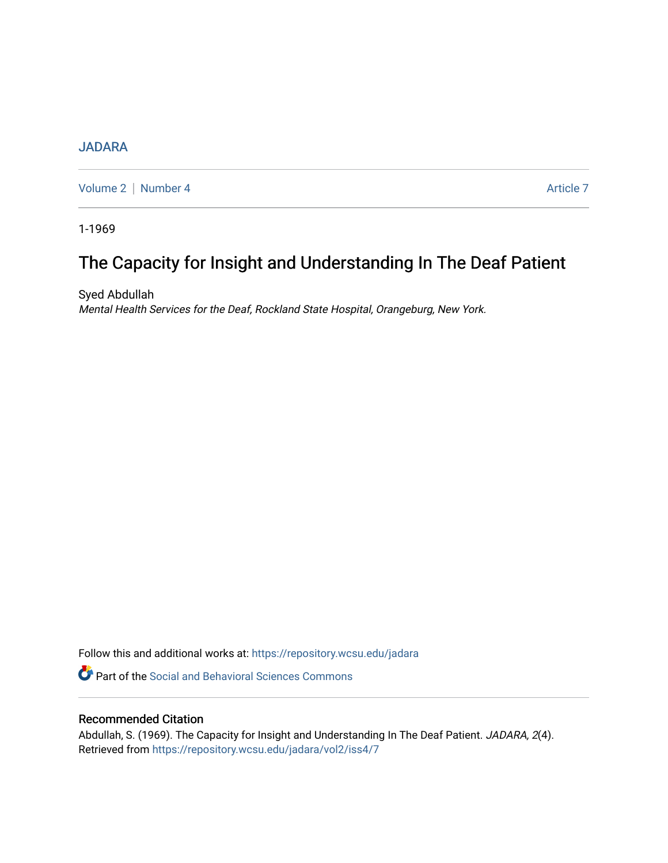## **[JADARA](https://repository.wcsu.edu/jadara)**

[Volume 2](https://repository.wcsu.edu/jadara/vol2) | [Number 4](https://repository.wcsu.edu/jadara/vol2/iss4) Article 7

1-1969

# The Capacity for Insight and Understanding In The Deaf Patient

Syed Abdullah Mental Health Services for the Deaf, Rockland State Hospital, Orangeburg, New York.

Follow this and additional works at: [https://repository.wcsu.edu/jadara](https://repository.wcsu.edu/jadara?utm_source=repository.wcsu.edu%2Fjadara%2Fvol2%2Fiss4%2F7&utm_medium=PDF&utm_campaign=PDFCoverPages)

**Part of the Social and Behavioral Sciences Commons** 

### Recommended Citation

Abdullah, S. (1969). The Capacity for Insight and Understanding In The Deaf Patient. JADARA, 2(4). Retrieved from [https://repository.wcsu.edu/jadara/vol2/iss4/7](https://repository.wcsu.edu/jadara/vol2/iss4/7?utm_source=repository.wcsu.edu%2Fjadara%2Fvol2%2Fiss4%2F7&utm_medium=PDF&utm_campaign=PDFCoverPages)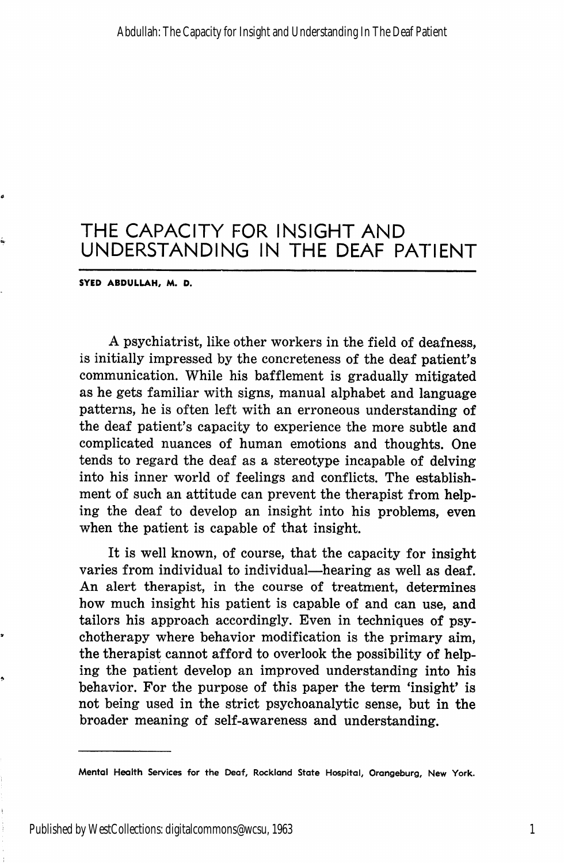## THE CAPACITY FOR INSIGHT AND UNDERSTANDING IN THE DEAF PATIENT

#### SYEO ABDULLAH, M. D.

A psychiatrist, like other workers in the field of deafness, is initially impressed by the concreteness of the deaf patient's communication. While his bafflement is gradually mitigated as he gets familiar with signs, manual alphabet and language patterns, he is often left with an erroneous understanding of the deaf patient's capacity to experience the more subtle and complicated nuances of human emotions and thoughts. One tends to regard the deaf as a stereotype incapable of delving into his inner world of feelings and conflicts. The establish ment of such an attitude can prevent the therapist from help ing the deaf to develop an insight into his problems, even when the patient is capable of that insight.

It is well known, of course, that the capacity for insight varies from individual to individual—hearing as well as deaf. An alert therapist, in the course of treatment, determines how much insight his patient is capable of and can use, and tailors his approach accordingly. Even in techniques of psy chotherapy where behavior modification is the primary aim, the therapist cannot afford to overlook the possibility of help ing the patient develop an improved understanding into his behavior. For the purpose of this paper the term 'insight' is not being used in the strict psychoanalytic sense, but in the broader meaning of self-awareness and understanding.

ė

Mental Health Services for the Deaf, Rockland State Hospital, Orangeburg, New York.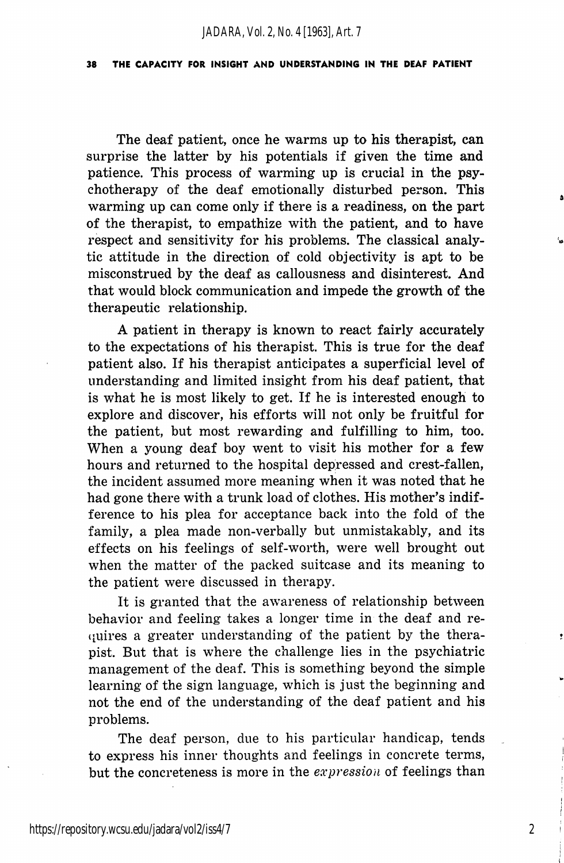#### 38 THE CAPACITY FOR INSIGHT AND UNDERSTANDING IN THE DEAF PATIENT

The deaf patient, once he warms up to his therapist, can surprise the latter by his potentials if given the time and patience. This process of warming up is crucial in the psy chotherapy of the deaf emotionally disturbed person. This warming up can come only if there is a readiness, on the part of the therapist, to empathize with the patient, and to have respect and sensitivity for his problems. The classical analy tic attitude in the direction of cold objectivity is apt to be misconstrued by the deaf as callousness and disinterest. And that would block communication and impede the growth of the therapeutic relationship.

A patient in therapy is known to react fairly accurately to the expectations of his therapist. This is true for the deaf patient also. If his therapist anticipates a superficial level of understanding and limited insight from his deaf patient, that is what he is most likely to get. If he is interested enough to explore and discover, his efforts will not only be fruitful for the patient, but most rewarding and fulfilling to him, too. When a young deaf boy went to visit his mother for a few hours and returned to the hospital depressed and crest-fallen, the incident assumed more meaning when it was noted that he had gone there with a trunk load of clothes. His mother's indifference to his plea for acceptance back into the fold of the family, a plea made non-verbally but unmistakably, and its effects on his feelings of self-worth, were well brought out when the matter of the packed suitcase and its meaning to the patient were discussed in therapy.

It is granted that the awareness of relationship between behavior and feeling takes a longer time in the deaf and re- (iuires a greater understanding of the patient by the thera pist. But that is where the challenge lies in the psychiatric management of the deaf. This is something beyond the simple learning of the sign language, which is just the beginning and not the end of the understanding of the deaf patient and his problems.

The deaf person, due to his particular handicap, tends to express his inner thoughts and feelings in concrete terms, but the concreteness is more in the  $expression$  of feelings than

2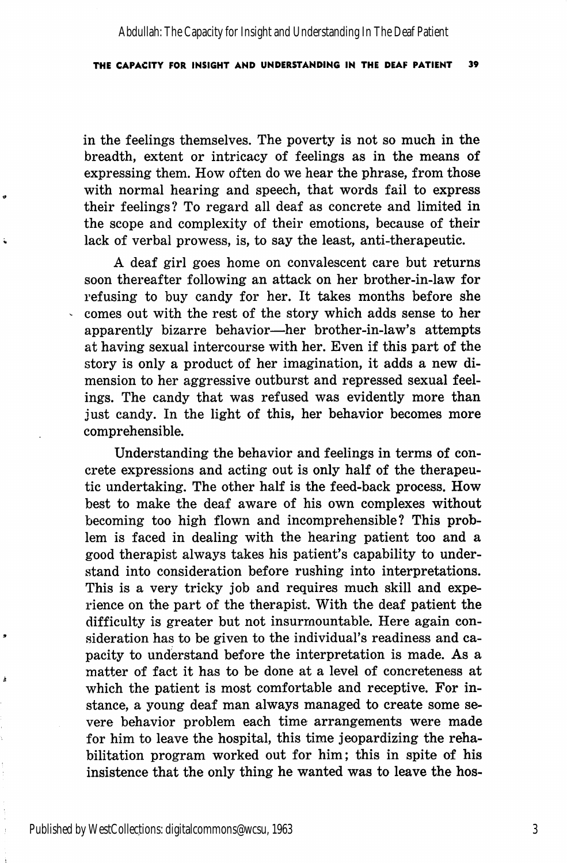Abdullah: The Capacity for Insight and Understanding In The Deaf Patient

#### THE CAPACITY FOR INSIGHT AND UNDERSTANDING IN THE DEAF PATIENT 39

in the feelings themselves. The poverty is not so much in the breadth, extent or intricacy of feelings as in the means of expressing them. How often do we hear the phrase, from those with normal hearing and speech, that words fail to express their feelings? To regard all deaf as concrete and limited in the scope and complexity of their emotions, because of their lack of verbal prowess, is, to say the least, anti-therapeutic.

A deaf girl goes home on convalescent care but returns soon thereafter following an attack on her brother-in-law for refusing to buy candy for her. It takes months before she comes out with the rest of the story which adds sense to her apparently bizarre behavior—her brother-in-law's attempts at having sexual intercourse with her. Even if this part of the story is only a product of her imagination, it adds a new di mension to her aggressive outburst and repressed sexual feel ings. The candy that was refused was evidently more than just candy. In the light of this, her behavior becomes more comprehensible.

Understanding the behavior and feelings in terms of con crete expressions and acting out is only half of the therapeu tic undertaking. The other half is the feed-back process. How best to make the deaf aware of his own complexes without becoming too high flown and incomprehensible? This prob lem is faced in dealing with the hearing patient too and a good therapist always takes his patient's capability to under stand into consideration before rushing into interpretations. This is a very tricky job and requires much skill and expe rience on the part of the therapist. With the deaf patient the difficulty is greater but not insurmountable. Here again con sideration has to be given to the individual's readiness and ca pacity to understand before the interpretation is made. As a matter of fact it has to be done at a level of concreteness at which the patient is most comfortable and receptive. For in stance, a young deaf man always managed to create some se vere behavior problem each time arrangements were made for him to leave the hospital, this time jeopardizing the reha bilitation program worked out for him; this in spite of his insistence that the only thing he wanted was to leave the hos-

ă

 $\frac{1}{2}$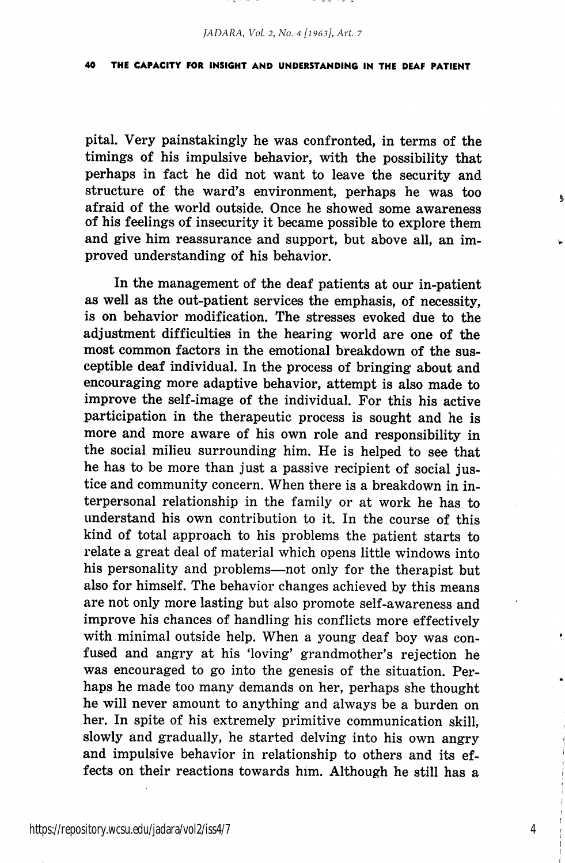*JADARA, Vol. 2, No. 4 [1963], Art. 7*

#### 40 THE CAPACITY FOR INSIGHT AND UNDERSTANDING IN THE DEAF PATIENT

pital. Very painstakingly he was confronted, in terms of the timings of his impulsive behavior, with the possibility that perhaps in fact he did not want to leave the security and structure of the ward's environment, perhaps he was too afraid of the world outside. Once he showed some awareness of his feelings of insecurity it became possible to explore them and give him reassurance and support, but above all, an im proved understanding of his behavior.

In the management of the deaf patients at our in-patient as well as the out-patient services the emphasis, of necessity, is on behavior modification. The stresses evoked due to the adjustment difficulties in the hearing world are one of the most common factors in the emotional breakdown of the sus ceptible deaf individual. In the process of bringing about and encouraging more adaptive behavior, attempt is also made to improve the self-image of the individual. For this his active participation in the therapeutic process is sought and he is more and more aware of his own role and responsibility in the social milieu surrounding him. He is helped to see that he has to be more than just a passive recipient of social jus tice and community concern. When there is a breakdown in in terpersonal relationship in the family or at work he has to understand his own contribution to it. In the course of this kind of total approach to his problems the patient starts to relate a great deal of material which opens little windows into his personality and problems—not only for the therapist but also for himself. The behavior changes achieved by this means are not only more lasting but also promote self-awareness and improve his chances of handling his conflicts more effectively with minimal outside help. When a young deaf boy was con fused and angry at his 'loving' grandmother's rejection he was encouraged to go into the genesis of the situation. Per haps he made too many demands on her, perhaps she thought he will never amount to anything and always be a burden on her. In spite of his extremely primitive communication skill, slowly and gradually, he started delving into his own angry and impulsive behavior in relationship to others and its ef fects on their reactions towards him. Although he still has a

4

 $\pmb{\mathsf{a}}$